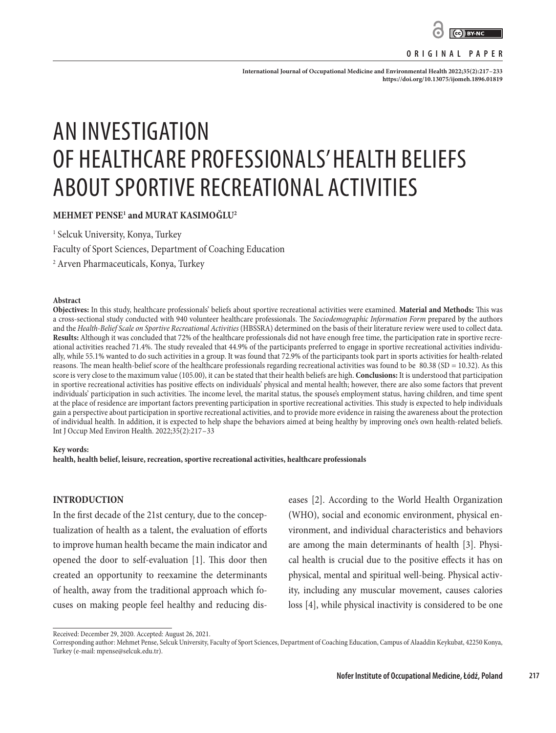

#### **ORIGINAL PAPER**

**International Journal of Occupational Medicine and Environmental Health 2022;35(2):217–233 <https://doi.org/10.13075/ijomeh.1896.01819>**

# AN INVESTIGATION OF HEALTHCARE PROFESSIONALS' HEALTH BELIEFS ABOUT SPORTIVE RECREATIONAL ACTIVITIES

**MEHMET PENSE1 and MURAT KASIMOĞLU2**

1 Selcuk University, Konya, Turkey

Faculty of Sport Sciences, Department of Coaching Education

2 Arven Pharmaceuticals, Konya, Turkey

#### **Abstract**

**Objectives:** In this study, healthcare professionals' beliefs about sportive recreational activities were examined. **Material and Methods:** This was a cross-sectional study conducted with 940 volunteer healthcare professionals. The *Sociodemographic Information Form* prepared by the authors and the *Health-Belief Scale on Sportive Recreational Activities* (HBSSRA) determined on the basis of their literature review were used to collect data. **Results:** Although it was concluded that 72% of the healthcare professionals did not have enough free time, the participation rate in sportive recreational activities reached 71.4%. The study revealed that 44.9% of the participants preferred to engage in sportive recreational activities individually, while 55.1% wanted to do such activities in a group. It was found that 72.9% of the participants took part in sports activities for health-related reasons. The mean health-belief score of the healthcare professionals regarding recreational activities was found to be 80.38 (SD = 10.32). As this score is very close to the maximum value (105.00), it can be stated that their health beliefs are high. **Conclusions:** It is understood that participation in sportive recreational activities has positive effects on individuals' physical and mental health; however, there are also some factors that prevent individuals' participation in such activities. The income level, the marital status, the spouse's employment status, having children, and time spent at the place of residence are important factors preventing participation in sportive recreational activities. This study is expected to help individuals gain a perspective about participation in sportive recreational activities, and to provide more evidence in raising the awareness about the protection of individual health. In addition, it is expected to help shape the behaviors aimed at being healthy by improving one's own health-related beliefs. Int J Occup Med Environ Health. 2022;35(2):217–33

#### **Key words:**

**health, health belief, leisure, recreation, sportive recreational activities, healthcare professionals**

#### **INTRODUCTION**

In the first decade of the 21st century, due to the conceptualization of health as a talent, the evaluation of efforts to improve human health became the main indicator and opened the door to self-evaluation [1]. This door then created an opportunity to reexamine the determinants of health, away from the traditional approach which focuses on making people feel healthy and reducing dis-

eases [2]. According to the World Health Organization (WHO), social and economic environment, physical environment, and individual characteristics and behaviors are among the main determinants of health [3]. Physical health is crucial due to the positive effects it has on physical, mental and spiritual well-being. Physical activity, including any muscular movement, causes calories loss [4], while physical inactivity is considered to be one

Received: December 29, 2020. Accepted: August 26, 2021.

Corresponding author: Mehmet Pense, Selcuk University, Faculty of Sport Sciences, Department of Coaching Education, Campus of Alaaddin Keykubat, 42250 Konya, Turkey (e-mail: mpense@selcuk.edu.tr).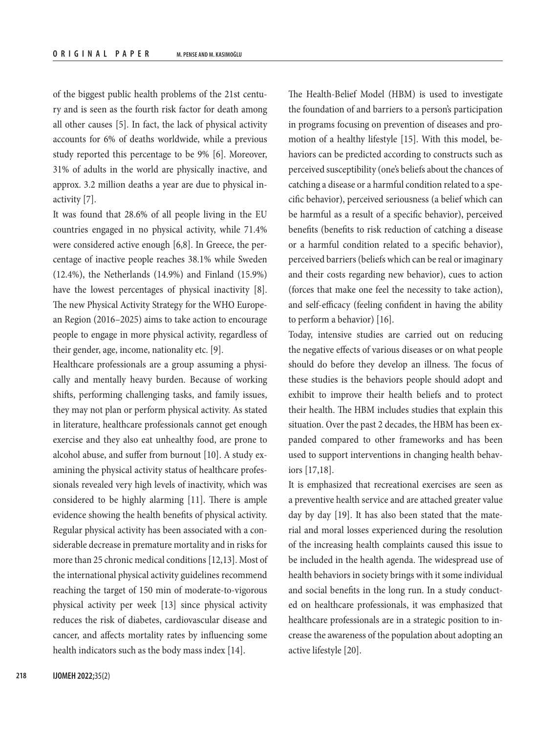of the biggest public health problems of the 21st century and is seen as the fourth risk factor for death among all other causes [5]. In fact, the lack of physical activity accounts for 6% of deaths worldwide, while a previous study reported this percentage to be 9% [6]. Moreover, 31% of adults in the world are physically inactive, and approx. 3.2 million deaths a year are due to physical inactivity [7].

It was found that 28.6% of all people living in the EU countries engaged in no physical activity, while 71.4% were considered active enough [6,8]. In Greece, the percentage of inactive people reaches 38.1% while Sweden (12.4%), the Netherlands (14.9%) and Finland (15.9%) have the lowest percentages of physical inactivity [8]. The new Physical Activity Strategy for the WHO European Region (2016–2025) aims to take action to encourage people to engage in more physical activity, regardless of their gender, age, income, nationality etc. [9].

Healthcare professionals are a group assuming a physically and mentally heavy burden. Because of working shifts, performing challenging tasks, and family issues, they may not plan or perform physical activity. As stated in literature, healthcare professionals cannot get enough exercise and they also eat unhealthy food, are prone to alcohol abuse, and suffer from burnout [10]. A study examining the physical activity status of healthcare professionals revealed very high levels of inactivity, which was considered to be highly alarming [11]. There is ample evidence showing the health benefits of physical activity. Regular physical activity has been associated with a considerable decrease in premature mortality and in risks for more than 25 chronic medical conditions [12,13]. Most of the international physical activity guidelines recommend reaching the target of 150 min of moderate-to-vigorous physical activity per week [13] since physical activity reduces the risk of diabetes, cardiovascular disease and cancer, and affects mortality rates by influencing some health indicators such as the body mass index [14].

The Health-Belief Model (HBM) is used to investigate the foundation of and barriers to a person's participation in programs focusing on prevention of diseases and promotion of a healthy lifestyle [15]. With this model, behaviors can be predicted according to constructs such as perceived susceptibility (one's beliefs about the chances of catching a disease or a harmful condition related to a specific behavior), perceived seriousness (a belief which can be harmful as a result of a specific behavior), perceived benefits (benefits to risk reduction of catching a disease or a harmful condition related to a specific behavior), perceived barriers (beliefs which can be real or imaginary and their costs regarding new behavior), cues to action (forces that make one feel the necessity to take action), and self-efficacy (feeling confident in having the ability to perform a behavior) [16].

Today, intensive studies are carried out on reducing the negative effects of various diseases or on what people should do before they develop an illness. The focus of these studies is the behaviors people should adopt and exhibit to improve their health beliefs and to protect their health. The HBM includes studies that explain this situation. Over the past 2 decades, the HBM has been expanded compared to other frameworks and has been used to support interventions in changing health behaviors [17,18].

It is emphasized that recreational exercises are seen as a preventive health service and are attached greater value day by day [19]. It has also been stated that the material and moral losses experienced during the resolution of the increasing health complaints caused this issue to be included in the health agenda. The widespread use of health behaviors in society brings with it some individual and social benefits in the long run. In a study conducted on healthcare professionals, it was emphasized that healthcare professionals are in a strategic position to increase the awareness of the population about adopting an active lifestyle [20].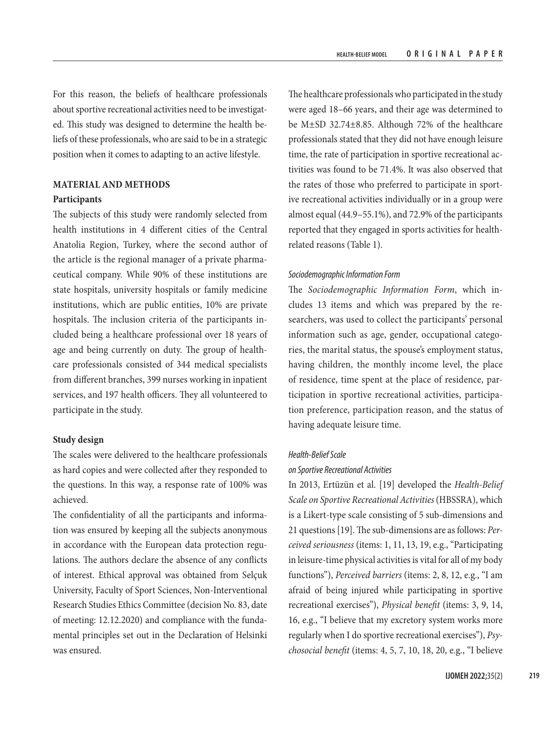For this reason, the beliefs of healthcare professionals about sportive recreational activities need to be investigated. This study was designed to determine the health beliefs of these professionals, who are said to be in a strategic position when it comes to adapting to an active lifestyle.

## **MATERIAL AND METHODS**

#### **Participants**

The subjects of this study were randomly selected from health institutions in 4 different cities of the Central Anatolia Region, Turkey, where the second author of the article is the regional manager of a private pharmaceutical company. While 90% of these institutions are state hospitals, university hospitals or family medicine institutions, which are public entities, 10% are private hospitals. The inclusion criteria of the participants included being a healthcare professional over 18 years of age and being currently on duty. The group of healthcare professionals consisted of 344 medical specialists from different branches, 399 nurses working in inpatient services, and 197 health officers. They all volunteered to participate in the study.

## **Study design**

The scales were delivered to the healthcare professionals as hard copies and were collected after they responded to the questions. In this way, a response rate of 100% was achieved.

The confidentiality of all the participants and information was ensured by keeping all the subjects anonymous in accordance with the European data protection regulations. The authors declare the absence of any conflicts of interest. Ethical approval was obtained from Selçuk University, Faculty of Sport Sciences, Non-Interventional Research Studies Ethics Committee (decision No. 83, date of meeting: 12.12.2020) and compliance with the fundamental principles set out in the Declaration of Helsinki was ensured.

The healthcare professionals who participated in the study were aged 18–66 years, and their age was determined to be M±SD 32.74±8.85. Although 72% of the healthcare professionals stated that they did not have enough leisure time, the rate of participation in sportive recreational activities was found to be 71.4%. It was also observed that the rates of those who preferred to participate in sportive recreational activities individually or in a group were almost equal (44.9–55.1%), and 72.9% of the participants reported that they engaged in sports activities for healthrelated reasons (Table 1).

#### *Sociodemographic Information Form*

The *Sociodemographic Information Form*, which includes 13 items and which was prepared by the researchers, was used to collect the participants' personal information such as age, gender, occupational categories, the marital status, the spouse's employment status, having children, the monthly income level, the place of residence, time spent at the place of residence, participation in sportive recreational activities, participation preference, participation reason, and the status of having adequate leisure time.

#### *Health-Belief Scale*

#### *on Sportive Recreational Activities*

In 2013, Ertüzün et al. [19] developed the *Health-Belief Scale on Sportive Recreational Activities* (HBSSRA), which is a Likert-type scale consisting of 5 sub-dimensions and 21 questions [19]. The sub-dimensions are as follows: *Perceived seriousness* (items: 1, 11, 13, 19, e.g., "Participating in leisure-time physical activities is vital for all of my body functions"), *Perceived barriers* (items: 2, 8, 12, e.g., "I am afraid of being injured while participating in sportive recreational exercises"), *Physical benefit* (items: 3, 9, 14, 16, e.g., "I believe that my excretory system works more regularly when I do sportive recreational exercises"), *Psychosocial benefit* (items: 4, 5, 7, 10, 18, 20, e.g., "I believe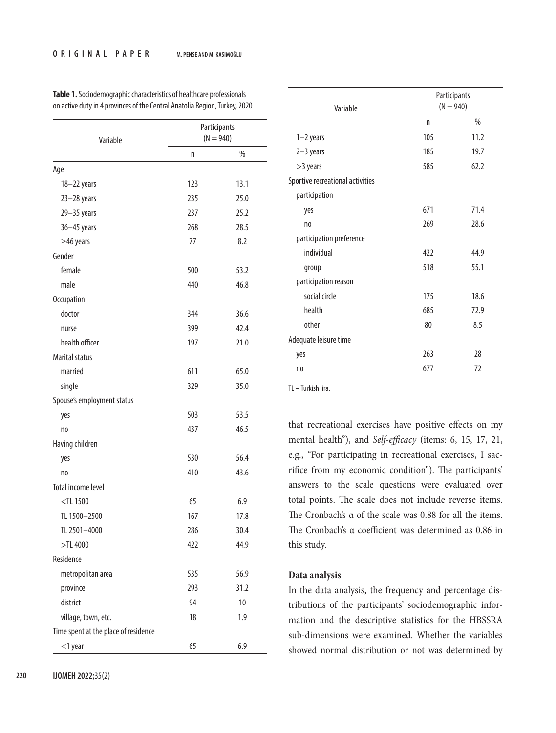| Variable                             | Participants<br>$(N = 940)$ |      |  |
|--------------------------------------|-----------------------------|------|--|
|                                      | n                           | $\%$ |  |
| Age                                  |                             |      |  |
| 18-22 years                          | 123                         | 13.1 |  |
| $23 - 28$ years                      | 235                         | 25.0 |  |
| $29 - 35$ years                      | 237                         | 25.2 |  |
| $36 - 45$ years                      | 268                         | 28.5 |  |
| $\geq$ 46 years                      | 77                          | 8.2  |  |
| Gender                               |                             |      |  |
| female                               | 500                         | 53.2 |  |
| male                                 | 440                         | 46.8 |  |
| <b>Occupation</b>                    |                             |      |  |
| doctor                               | 344                         | 36.6 |  |
| nurse                                | 399                         | 42.4 |  |
| health officer                       | 197                         | 21.0 |  |
| <b>Marital status</b>                |                             |      |  |
| married                              | 611                         | 65.0 |  |
| single                               | 329                         | 35.0 |  |
| Spouse's employment status           |                             |      |  |
| yes                                  | 503                         | 53.5 |  |
| n <sub>0</sub>                       | 437                         | 46.5 |  |
| Having children                      |                             |      |  |
| yes                                  | 530                         | 56.4 |  |
| n <sub>0</sub>                       | 410                         | 43.6 |  |
| <b>Total income level</b>            |                             |      |  |
| $<$ TL 1500                          | 65                          | 6.9  |  |
| TL 1500-2500                         | 167                         | 17.8 |  |
| TL 2501-4000                         | 286                         | 30.4 |  |
| $>\!\!7L$ 4000                       | 422                         | 44.9 |  |
| Residence                            |                             |      |  |
| metropolitan area                    | 535                         | 56.9 |  |
| province                             | 293                         | 31.2 |  |
| district                             | 94                          | 10   |  |
| village, town, etc.                  | 18                          | 1.9  |  |
| Time spent at the place of residence |                             |      |  |
| $<$ 1 year                           | 65                          | 6.9  |  |

**Table 1.** Sociodemographic characteristics of healthcare professionals on active duty in 4 provinces of the Central Anatolia Region, Turkey, 2020

| Variable                         | Participants<br>$(N = 940)$ |      |  |
|----------------------------------|-----------------------------|------|--|
|                                  | n                           | $\%$ |  |
| $1-2$ years                      | 105                         | 11.2 |  |
| $2-3$ years                      | 185                         | 19.7 |  |
| >3 years                         | 585                         | 62.2 |  |
| Sportive recreational activities |                             |      |  |
| participation                    |                             |      |  |
| yes                              | 671                         | 71.4 |  |
| n <sub>0</sub>                   | 269                         | 28.6 |  |
| participation preference         |                             |      |  |
| individual                       | 422                         | 44.9 |  |
| group                            | 518                         | 55.1 |  |
| participation reason             |                             |      |  |
| social circle                    | 175                         | 18.6 |  |
| health                           | 685                         | 72.9 |  |
| other                            | 80                          | 8.5  |  |
| Adequate leisure time            |                             |      |  |
| yes                              | 263                         | 28   |  |
| n <sub>0</sub>                   | 677                         | 72   |  |

TL – Turkish lira.

that recreational exercises have positive effects on my mental health"), and *Self-efficacy* (items: 6, 15, 17, 21, e.g., "For participating in recreational exercises, I sacrifice from my economic condition"). The participants' answers to the scale questions were evaluated over total points. The scale does not include reverse items. The Cronbach's α of the scale was 0.88 for all the items. The Cronbach's α coefficient was determined as 0.86 in this study.

#### **Data analysis**

In the data analysis, the frequency and percentage distributions of the participants' sociodemographic information and the descriptive statistics for the HBSSRA sub-dimensions were examined. Whether the variables showed normal distribution or not was determined by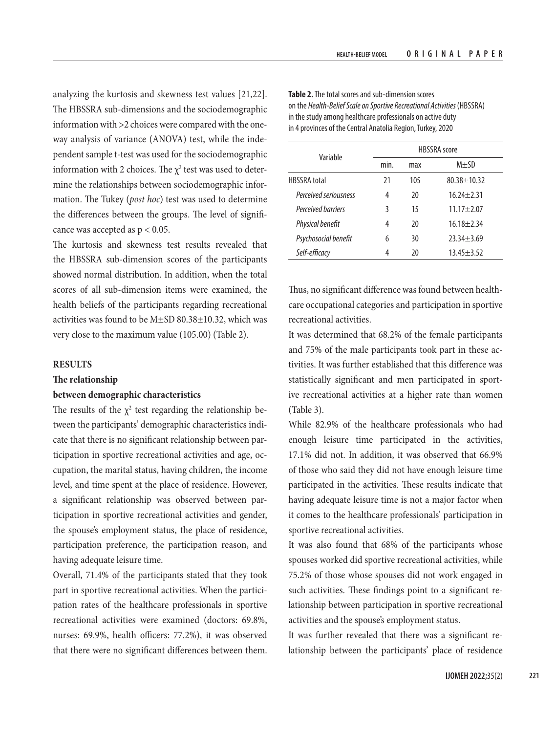analyzing the kurtosis and skewness test values [21,22]. The HBSSRA sub-dimensions and the sociodemographic information with >2 choices were compared with the oneway analysis of variance (ANOVA) test, while the independent sample t-test was used for the sociodemographic information with 2 choices. The  $\chi^2$  test was used to determine the relationships between sociodemographic information. The Tukey (*post hoc*) test was used to determine the differences between the groups. The level of significance was accepted as  $p < 0.05$ .

The kurtosis and skewness test results revealed that the HBSSRA sub-dimension scores of the participants showed normal distribution. In addition, when the total scores of all sub-dimension items were examined, the health beliefs of the participants regarding recreational activities was found to be M±SD 80.38±10.32, which was very close to the maximum value (105.00) (Table 2).

## **RESULTS**

### **The relationship**

### **between demographic characteristics**

The results of the  $\chi^2$  test regarding the relationship between the participants' demographic characteristics indicate that there is no significant relationship between participation in sportive recreational activities and age, occupation, the marital status, having children, the income level, and time spent at the place of residence. However, a significant relationship was observed between participation in sportive recreational activities and gender, the spouse's employment status, the place of residence, participation preference, the participation reason, and having adequate leisure time.

Overall, 71.4% of the participants stated that they took part in sportive recreational activities. When the participation rates of the healthcare professionals in sportive recreational activities were examined (doctors: 69.8%, nurses: 69.9%, health officers: 77.2%), it was observed that there were no significant differences between them.

| Variable              |      | <b>HBSSRA</b> score |                  |  |  |
|-----------------------|------|---------------------|------------------|--|--|
|                       | min. | max                 | $M \pm SD$       |  |  |
| <b>HBSSRA</b> total   | 21   | 105                 | $80.38 + 10.32$  |  |  |
| Perceived seriousness | 4    | 20                  | $16.24 \pm 2.31$ |  |  |
| Perceived barriers    | 3    | 15                  | $11.17 + 2.07$   |  |  |
| Physical benefit      | 4    | 20                  | $16.18 \pm 2.34$ |  |  |
| Psychosocial benefit  | 6    | 30                  | $23.34 \pm 3.69$ |  |  |
| Self-efficacv         | 4    | 20                  | $13.45 \pm 3.52$ |  |  |

**Table 2.** The total scores and sub-dimension scores on the *Health-Belief Scale on Sportive Recreational Activities* (HBSSRA) in the study among healthcare professionals on active duty in 4 provinces of the Central Anatolia Region, Turkey, 2020

Thus, no significant difference was found between healthcare occupational categories and participation in sportive recreational activities.

It was determined that 68.2% of the female participants and 75% of the male participants took part in these activities. It was further established that this difference was statistically significant and men participated in sportive recreational activities at a higher rate than women (Table 3).

While 82.9% of the healthcare professionals who had enough leisure time participated in the activities, 17.1% did not. In addition, it was observed that 66.9% of those who said they did not have enough leisure time participated in the activities. These results indicate that having adequate leisure time is not a major factor when it comes to the healthcare professionals' participation in sportive recreational activities.

It was also found that 68% of the participants whose spouses worked did sportive recreational activities, while 75.2% of those whose spouses did not work engaged in such activities. These findings point to a significant relationship between participation in sportive recreational activities and the spouse's employment status.

It was further revealed that there was a significant relationship between the participants' place of residence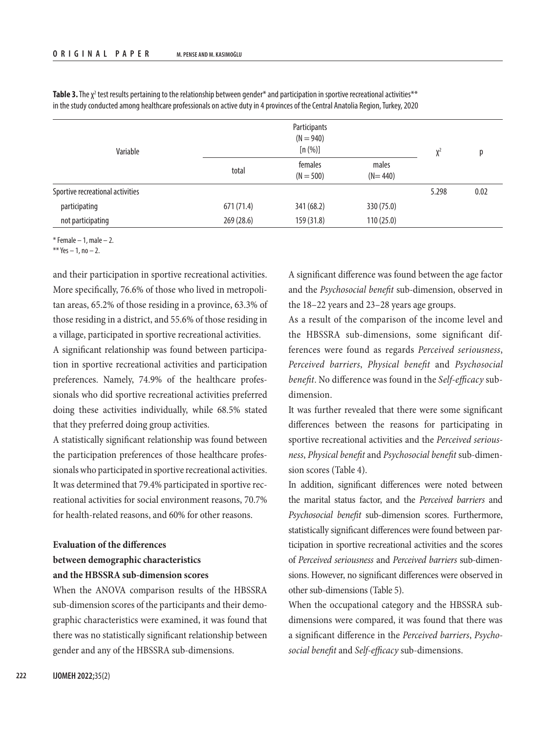| Variable                         |            | Participants<br>$(N = 940)$<br>[n (%)] |                      |       | D    |
|----------------------------------|------------|----------------------------------------|----------------------|-------|------|
|                                  | total      | females<br>$(N = 500)$                 | males<br>$(N = 440)$ | $X^2$ |      |
| Sportive recreational activities |            |                                        |                      | 5.298 | 0.02 |
| participating                    | 671(71.4)  | 341 (68.2)                             | 330 (75.0)           |       |      |
| not participating                | 269 (28.6) | 159 (31.8)                             | 110(25.0)            |       |      |

**Table 3.** The  $\chi^2$  test results pertaining to the relationship between gender\* and participation in sportive recreational activities\*\* in the study conducted among healthcare professionals on active duty in 4 provinces of the Central Anatolia Region, Turkey, 2020

 $*$  Female – 1, male – 2.

\*\* Yes  $-1$ , no  $-2$ .

and their participation in sportive recreational activities. More specifically, 76.6% of those who lived in metropolitan areas, 65.2% of those residing in a province, 63.3% of those residing in a district, and 55.6% of those residing in a village, participated in sportive recreational activities.

A significant relationship was found between participation in sportive recreational activities and participation preferences. Namely, 74.9% of the healthcare professionals who did sportive recreational activities preferred doing these activities individually, while 68.5% stated that they preferred doing group activities.

A statistically significant relationship was found between the participation preferences of those healthcare professionals who participated in sportive recreational activities. It was determined that 79.4% participated in sportive recreational activities for social environment reasons, 70.7% for health-related reasons, and 60% for other reasons.

# **Evaluation of the differences between demographic characteristics and the HBSSRA sub-dimension scores**

When the ANOVA comparison results of the HBSSRA sub-dimension scores of the participants and their demographic characteristics were examined, it was found that there was no statistically significant relationship between gender and any of the HBSSRA sub-dimensions.

A significant difference was found between the age factor and the *Psychosocial benefit* sub-dimension, observed in the 18–22 years and 23–28 years age groups.

As a result of the comparison of the income level and the HBSSRA sub-dimensions, some significant differences were found as regards *Perceived seriousness*, *Perceived barriers*, *Physical benefit* and *Psychosocial benefit*. No difference was found in the *Self-efficacy* subdimension.

It was further revealed that there were some significant differences between the reasons for participating in sportive recreational activities and the *Perceived seriousness*, *Physical benefit* and *Psychosocial benefit* sub-dimension scores (Table 4).

In addition, significant differences were noted between the marital status factor, and the *Perceived barriers* and *Psychosocial benefit* sub-dimension scores. Furthermore, statistically significant differences were found between participation in sportive recreational activities and the scores of *Perceived seriousness* and *Perceived barriers* sub-dimensions. However, no significant differences were observed in other sub-dimensions (Table 5).

When the occupational category and the HBSSRA subdimensions were compared, it was found that there was a significant difference in the *Perceived barriers*, *Psychosocial benefit* and *Self-efficacy* sub-dimensions.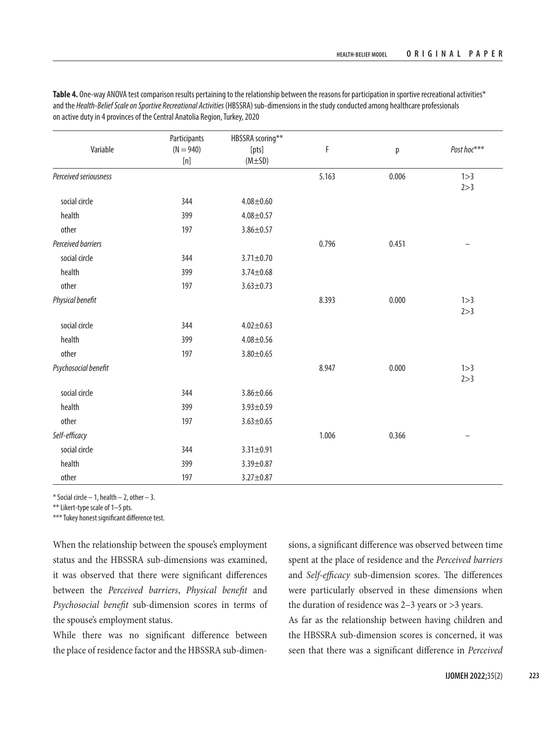|                       | Participants    | HBSSRA scoring** |       |       |             |
|-----------------------|-----------------|------------------|-------|-------|-------------|
| Variable              | $(N = 940)$     | [pts]            | F     | p     | Post hoc*** |
|                       | $[{\mathsf n}]$ | $(M \pm SD)$     |       |       |             |
| Perceived seriousness |                 |                  | 5.163 | 0.006 | 1 > 3       |
|                       |                 |                  |       |       | 2 > 3       |
| social circle         | 344             | $4.08 + 0.60$    |       |       |             |
| health                | 399             | $4.08 + 0.57$    |       |       |             |
| other                 | 197             | $3.86 \pm 0.57$  |       |       |             |
| Perceived barriers    |                 |                  | 0.796 | 0.451 |             |
| social circle         | 344             | $3.71 \pm 0.70$  |       |       |             |
| health                | 399             | $3.74 \pm 0.68$  |       |       |             |
| other                 | 197             | $3.63 \pm 0.73$  |       |       |             |
| Physical benefit      |                 |                  | 8.393 | 0.000 | 1 > 3       |
|                       |                 |                  |       |       | 2 > 3       |
| social circle         | 344             | $4.02 \pm 0.63$  |       |       |             |
| health                | 399             | $4.08 + 0.56$    |       |       |             |
| other                 | 197             | $3.80 + 0.65$    |       |       |             |
| Psychosocial benefit  |                 |                  | 8.947 | 0.000 | 1 > 3       |
|                       |                 |                  |       |       | 2 > 3       |
| social circle         | 344             | $3.86 \pm 0.66$  |       |       |             |
| health                | 399             | $3.93 \pm 0.59$  |       |       |             |
| other                 | 197             | $3.63 \pm 0.65$  |       |       |             |
| Self-efficacy         |                 |                  | 1.006 | 0.366 |             |
| social circle         | 344             | $3.31 \pm 0.91$  |       |       |             |
| health                | 399             | $3.39 + 0.87$    |       |       |             |
| other                 | 197             | $3.27 \pm 0.87$  |       |       |             |

Table 4. One-way ANOVA test comparison results pertaining to the relationship between the reasons for participation in sportive recreational activities\* and the *Health-Belief Scale on Sportive Recreational Activities* (HBSSRA) sub-dimensions in the study conducted among healthcare professionals on active duty in 4 provinces of the Central Anatolia Region, Turkey, 2020

 $*$  Social circle  $-1$ , health  $-2$ , other  $-3$ .

\*\* Likert-type scale of 1-5 pts.

\*\*\* Tukey honest significant difference test.

When the relationship between the spouse's employment status and the HBSSRA sub-dimensions was examined, it was observed that there were significant differences between the *Perceived barriers*, *Physical benefit* and *Psychosocial benefit* sub-dimension scores in terms of the spouse's employment status.

While there was no significant difference between the place of residence factor and the HBSSRA sub-dimensions, a significant difference was observed between time spent at the place of residence and the *Perceived barriers* and *Self-efficacy* sub-dimension scores. The differences were particularly observed in these dimensions when the duration of residence was 2–3 years or >3 years.

As far as the relationship between having children and the HBSSRA sub-dimension scores is concerned, it was seen that there was a significant difference in *Perceived*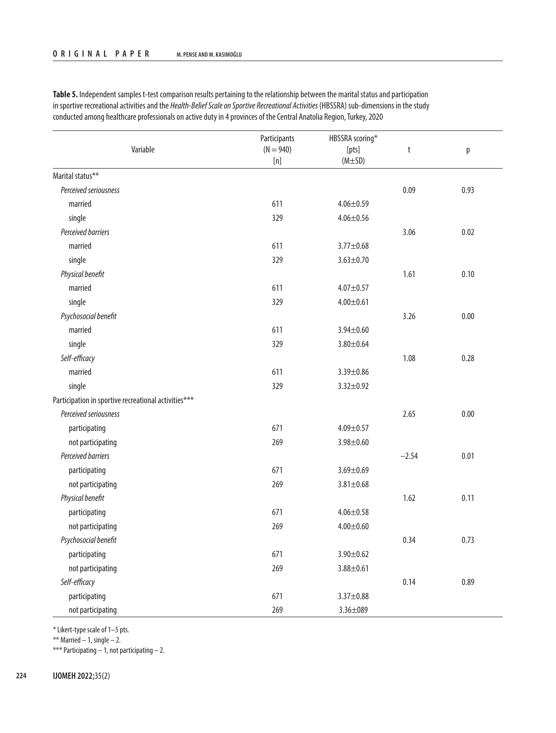|                                                      | Participants         | HBSSRA scoring*       |         |      |
|------------------------------------------------------|----------------------|-----------------------|---------|------|
| Variable                                             | $(N = 940)$<br>$[n]$ | [pts]<br>$(M \pm SD)$ | t       | p    |
| Marital status**                                     |                      |                       |         |      |
| Perceived seriousness                                |                      |                       | 0.09    | 0.93 |
| married                                              | 611                  | $4.06 \pm 0.59$       |         |      |
| single                                               | 329                  | $4.06 \pm 0.56$       |         |      |
| Perceived barriers                                   |                      |                       | 3.06    | 0.02 |
| married                                              | 611                  | $3.77 + 0.68$         |         |      |
| single                                               | 329                  | $3.63 \pm 0.70$       |         |      |
| Physical benefit                                     |                      |                       | 1.61    | 0.10 |
| married                                              | 611                  | $4.07 + 0.57$         |         |      |
| single                                               | 329                  | $4.00 + 0.61$         |         |      |
| Psychosocial benefit                                 |                      |                       | 3.26    | 0.00 |
| married                                              | 611                  | $3.94 \pm 0.60$       |         |      |
| single                                               | 329                  | $3.80 + 0.64$         |         |      |
| Self-efficacy                                        |                      |                       | 1.08    | 0.28 |
| married                                              | 611                  | $3.39 + 0.86$         |         |      |
| single                                               | 329                  | $3.32 \pm 0.92$       |         |      |
| Participation in sportive recreational activities*** |                      |                       |         |      |
| Perceived seriousness                                |                      |                       | 2.65    | 0.00 |
| participating                                        | 671                  | $4.09 \pm 0.57$       |         |      |
| not participating                                    | 269                  | $3.98 + 0.60$         |         |      |
| Perceived barriers                                   |                      |                       | $-2.54$ | 0.01 |
| participating                                        | 671                  | $3.69 \pm 0.69$       |         |      |
| not participating                                    | 269                  | $3.81 \pm 0.68$       |         |      |
| Physical benefit                                     |                      |                       | 1.62    | 0.11 |
| participating                                        | 671                  | $4.06 \pm 0.58$       |         |      |
| not participating                                    | 269                  | $4.00 \pm 0.60$       |         |      |
| Psychosocial benefit                                 |                      |                       | 0.34    | 0.73 |
| participating                                        | 671                  | $3.90 + 0.62$         |         |      |
| not participating                                    | 269                  | $3.88 + 0.61$         |         |      |
| Self-efficacy                                        |                      |                       | 0.14    | 0.89 |
| participating                                        | 671                  | $3.37 \pm 0.88$       |         |      |
| not participating                                    | 269                  | $3.36 \pm 089$        |         |      |

**Table 5.** Independent samples t-test comparison results pertaining to the relationship between the marital status and participation in sportive recreational activities and the *Health-Belief Scale on Sportive Recreational Activities* (HBSSRA) sub-dimensions in the study conducted among healthcare professionals on active duty in 4 provinces of the Central Anatolia Region, Turkey, 2020

\* Likert-type scale of 1–5 pts.

\*\* Married  $-1$ , single  $-2$ .

\*\*\* Participating  $-1$ , not participating  $-2$ .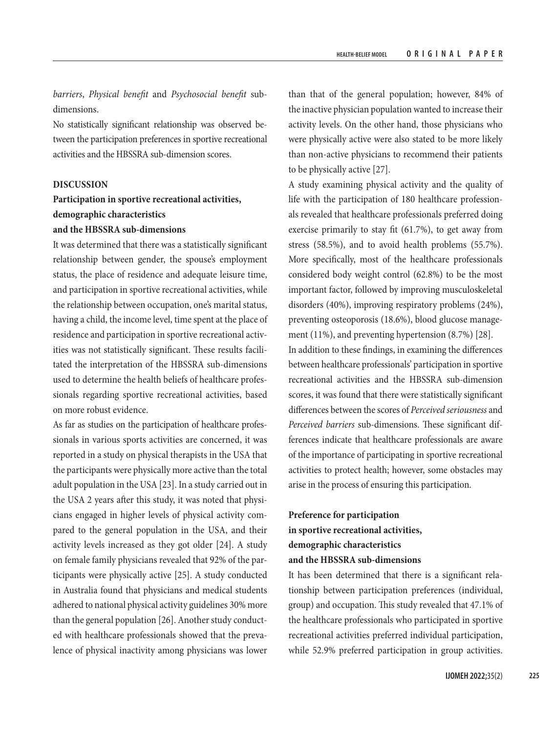*barriers*, *Physical benefit* and *Psychosocial benefit* subdimensions.

No statistically significant relationship was observed between the participation preferences in sportive recreational activities and the HBSSRA sub-dimension scores.

#### **DISCUSSION**

## **Participation in sportive recreational activities, demographic characteristics and the HBSSRA sub-dimensions**

It was determined that there was a statistically significant relationship between gender, the spouse's employment status, the place of residence and adequate leisure time, and participation in sportive recreational activities, while the relationship between occupation, one's marital status, having a child, the income level, time spent at the place of residence and participation in sportive recreational activities was not statistically significant. These results facilitated the interpretation of the HBSSRA sub-dimensions used to determine the health beliefs of healthcare professionals regarding sportive recreational activities, based on more robust evidence.

As far as studies on the participation of healthcare professionals in various sports activities are concerned, it was reported in a study on physical therapists in the USA that the participants were physically more active than the total adult population in the USA [23]. In a study carried out in the USA 2 years after this study, it was noted that physicians engaged in higher levels of physical activity compared to the general population in the USA, and their activity levels increased as they got older [24]. A study on female family physicians revealed that 92% of the participants were physically active [25]. A study conducted in Australia found that physicians and medical students adhered to national physical activity guidelines 30% more than the general population [26]. Another study conducted with healthcare professionals showed that the prevalence of physical inactivity among physicians was lower than that of the general population; however, 84% of the inactive physician population wanted to increase their activity levels. On the other hand, those physicians who were physically active were also stated to be more likely than non-active physicians to recommend their patients to be physically active [27].

A study examining physical activity and the quality of life with the participation of 180 healthcare professionals revealed that healthcare professionals preferred doing exercise primarily to stay fit (61.7%), to get away from stress (58.5%), and to avoid health problems (55.7%). More specifically, most of the healthcare professionals considered body weight control (62.8%) to be the most important factor, followed by improving musculoskeletal disorders (40%), improving respiratory problems (24%), preventing osteoporosis (18.6%), blood glucose management (11%), and preventing hypertension (8.7%) [28]. In addition to these findings, in examining the differences between healthcare professionals' participation in sportive recreational activities and the HBSSRA sub-dimension scores, it was found that there were statistically significant differences between the scores of *Perceived seriousness* and *Perceived barriers* sub-dimensions. These significant differences indicate that healthcare professionals are aware of the importance of participating in sportive recreational activities to protect health; however, some obstacles may arise in the process of ensuring this participation.

# **Preference for participation in sportive recreational activities, demographic characteristics and the HBSSRA sub-dimensions**

It has been determined that there is a significant relationship between participation preferences (individual, group) and occupation. This study revealed that 47.1% of the healthcare professionals who participated in sportive recreational activities preferred individual participation, while 52.9% preferred participation in group activities.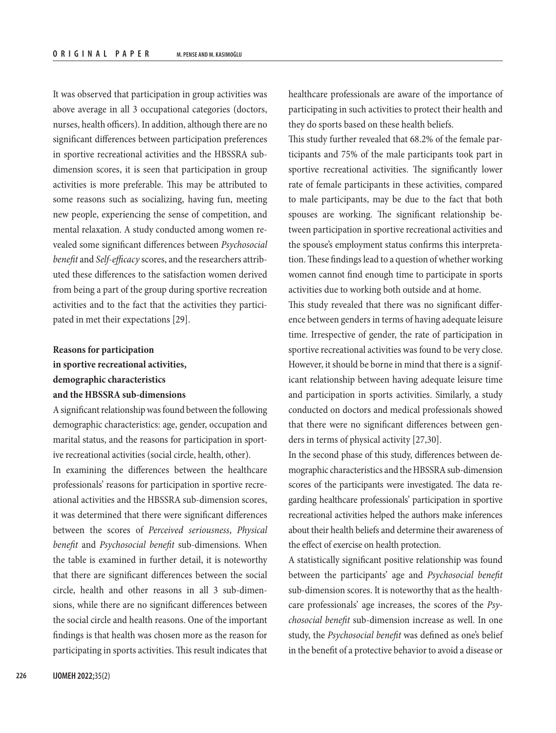It was observed that participation in group activities was above average in all 3 occupational categories (doctors, nurses, health officers). In addition, although there are no significant differences between participation preferences in sportive recreational activities and the HBSSRA subdimension scores, it is seen that participation in group activities is more preferable. This may be attributed to some reasons such as socializing, having fun, meeting new people, experiencing the sense of competition, and mental relaxation. A study conducted among women revealed some significant differences between *Psychosocial benefit* and *Self-efficacy* scores, and the researchers attributed these differences to the satisfaction women derived from being a part of the group during sportive recreation activities and to the fact that the activities they participated in met their expectations [29].

# **Reasons for participation in sportive recreational activities, demographic characteristics and the HBSSRA sub-dimensions**

A significant relationship was found between the following demographic characteristics: age, gender, occupation and marital status, and the reasons for participation in sportive recreational activities (social circle, health, other).

In examining the differences between the healthcare professionals' reasons for participation in sportive recreational activities and the HBSSRA sub-dimension scores, it was determined that there were significant differences between the scores of *Perceived seriousness*, *Physical benefit* and *Psychosocial benefit* sub-dimensions. When the table is examined in further detail, it is noteworthy that there are significant differences between the social circle, health and other reasons in all 3 sub-dimensions, while there are no significant differences between the social circle and health reasons. One of the important findings is that health was chosen more as the reason for participating in sports activities. This result indicates that healthcare professionals are aware of the importance of participating in such activities to protect their health and they do sports based on these health beliefs.

This study further revealed that 68.2% of the female participants and 75% of the male participants took part in sportive recreational activities. The significantly lower rate of female participants in these activities, compared to male participants, may be due to the fact that both spouses are working. The significant relationship between participation in sportive recreational activities and the spouse's employment status confirms this interpretation. These findings lead to a question of whether working women cannot find enough time to participate in sports activities due to working both outside and at home.

This study revealed that there was no significant difference between genders in terms of having adequate leisure time. Irrespective of gender, the rate of participation in sportive recreational activities was found to be very close. However, it should be borne in mind that there is a significant relationship between having adequate leisure time and participation in sports activities. Similarly, a study conducted on doctors and medical professionals showed that there were no significant differences between genders in terms of physical activity [27,30].

In the second phase of this study, differences between demographic characteristics and the HBSSRA sub-dimension scores of the participants were investigated. The data regarding healthcare professionals' participation in sportive recreational activities helped the authors make inferences about their health beliefs and determine their awareness of the effect of exercise on health protection.

A statistically significant positive relationship was found between the participants' age and *Psychosocial benefit* sub-dimension scores. It is noteworthy that as the healthcare professionals' age increases, the scores of the *Psychosocial benefit* sub-dimension increase as well. In one study, the *Psychosocial benefit* was defined as one's belief in the benefit of a protective behavior to avoid a disease or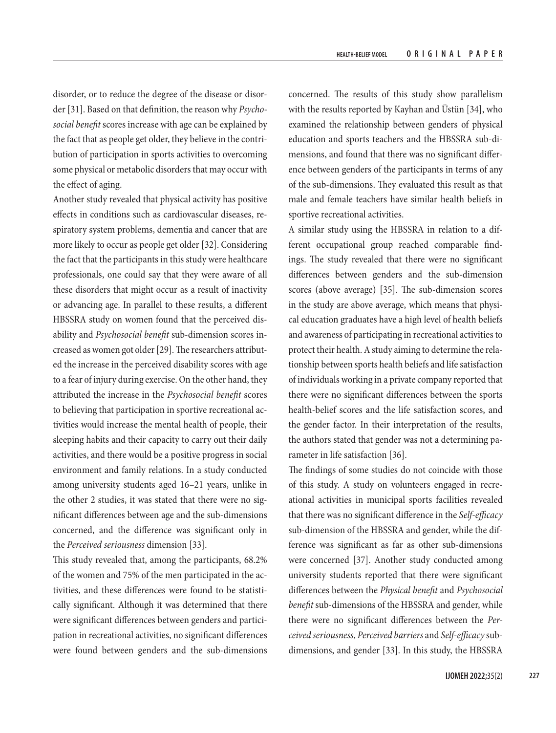disorder, or to reduce the degree of the disease or disorder [31]. Based on that definition, the reason why *Psychosocial benefit* scores increase with age can be explained by the fact that as people get older, they believe in the contribution of participation in sports activities to overcoming some physical or metabolic disorders that may occur with the effect of aging.

Another study revealed that physical activity has positive effects in conditions such as cardiovascular diseases, respiratory system problems, dementia and cancer that are more likely to occur as people get older [32]. Considering the fact that the participants in this study were healthcare professionals, one could say that they were aware of all these disorders that might occur as a result of inactivity or advancing age. In parallel to these results, a different HBSSRA study on women found that the perceived disability and *Psychosocial benefit* sub-dimension scores increased as women got older [29]. The researchers attributed the increase in the perceived disability scores with age to a fear of injury during exercise. On the other hand, they attributed the increase in the *Psychosocial benefit* scores to believing that participation in sportive recreational activities would increase the mental health of people, their sleeping habits and their capacity to carry out their daily activities, and there would be a positive progress in social environment and family relations. In a study conducted among university students aged 16–21 years, unlike in the other 2 studies, it was stated that there were no significant differences between age and the sub-dimensions concerned, and the difference was significant only in the *Perceived seriousness* dimension [33].

This study revealed that, among the participants, 68.2% of the women and 75% of the men participated in the activities, and these differences were found to be statistically significant. Although it was determined that there were significant differences between genders and participation in recreational activities, no significant differences were found between genders and the sub-dimensions

concerned. The results of this study show parallelism with the results reported by Kayhan and Üstün [34], who examined the relationship between genders of physical education and sports teachers and the HBSSRA sub-dimensions, and found that there was no significant difference between genders of the participants in terms of any of the sub-dimensions. They evaluated this result as that male and female teachers have similar health beliefs in sportive recreational activities.

A similar study using the HBSSRA in relation to a different occupational group reached comparable findings. The study revealed that there were no significant differences between genders and the sub-dimension scores (above average) [35]. The sub-dimension scores in the study are above average, which means that physical education graduates have a high level of health beliefs and awareness of participating in recreational activities to protect their health. A study aiming to determine the relationship between sports health beliefs and life satisfaction of individuals working in a private company reported that there were no significant differences between the sports health-belief scores and the life satisfaction scores, and the gender factor. In their interpretation of the results, the authors stated that gender was not a determining parameter in life satisfaction [36].

The findings of some studies do not coincide with those of this study. A study on volunteers engaged in recreational activities in municipal sports facilities revealed that there was no significant difference in the *Self-efficacy* sub-dimension of the HBSSRA and gender, while the difference was significant as far as other sub-dimensions were concerned [37]. Another study conducted among university students reported that there were significant differences between the *Physical benefit* and *Psychosocial benefit* sub-dimensions of the HBSSRA and gender, while there were no significant differences between the *Perceived seriousness*, *Perceived barriers* and *Self-efficacy* subdimensions, and gender [33]. In this study, the HBSSRA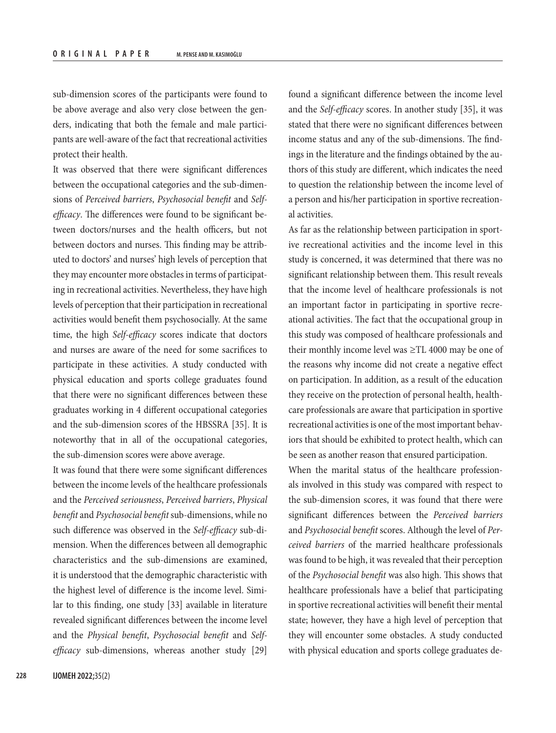sub-dimension scores of the participants were found to be above average and also very close between the genders, indicating that both the female and male participants are well-aware of the fact that recreational activities protect their health.

It was observed that there were significant differences between the occupational categories and the sub-dimensions of *Perceived barriers*, *Psychosocial benefit* and *Selfefficacy*. The differences were found to be significant between doctors/nurses and the health officers, but not between doctors and nurses. This finding may be attributed to doctors' and nurses' high levels of perception that they may encounter more obstacles in terms of participating in recreational activities. Nevertheless, they have high levels of perception that their participation in recreational activities would benefit them psychosocially. At the same time, the high *Self-efficacy* scores indicate that doctors and nurses are aware of the need for some sacrifices to participate in these activities. A study conducted with physical education and sports college graduates found that there were no significant differences between these graduates working in 4 different occupational categories and the sub-dimension scores of the HBSSRA [35]. It is noteworthy that in all of the occupational categories, the sub-dimension scores were above average.

It was found that there were some significant differences between the income levels of the healthcare professionals and the *Perceived seriousness*, *Perceived barriers*, *Physical benefit* and *Psychosocial benefit* sub-dimensions, while no such difference was observed in the *Self-efficacy* sub-dimension. When the differences between all demographic characteristics and the sub-dimensions are examined, it is understood that the demographic characteristic with the highest level of difference is the income level. Similar to this finding, one study [33] available in literature revealed significant differences between the income level and the *Physical benefit*, *Psychosocial benefit* and *Selfefficacy* sub-dimensions, whereas another study [29]

found a significant difference between the income level and the *Self-efficacy* scores. In another study [35], it was stated that there were no significant differences between income status and any of the sub-dimensions. The findings in the literature and the findings obtained by the authors of this study are different, which indicates the need to question the relationship between the income level of a person and his/her participation in sportive recreational activities.

As far as the relationship between participation in sportive recreational activities and the income level in this study is concerned, it was determined that there was no significant relationship between them. This result reveals that the income level of healthcare professionals is not an important factor in participating in sportive recreational activities. The fact that the occupational group in this study was composed of healthcare professionals and their monthly income level was ≥TL 4000 may be one of the reasons why income did not create a negative effect on participation. In addition, as a result of the education they receive on the protection of personal health, healthcare professionals are aware that participation in sportive recreational activities is one of the most important behaviors that should be exhibited to protect health, which can be seen as another reason that ensured participation.

When the marital status of the healthcare professionals involved in this study was compared with respect to the sub-dimension scores, it was found that there were significant differences between the *Perceived barriers* and *Psychosocial benefit* scores. Although the level of *Perceived barriers* of the married healthcare professionals was found to be high, it was revealed that their perception of the *Psychosocial benefit* was also high. This shows that healthcare professionals have a belief that participating in sportive recreational activities will benefit their mental state; however, they have a high level of perception that they will encounter some obstacles. A study conducted with physical education and sports college graduates de-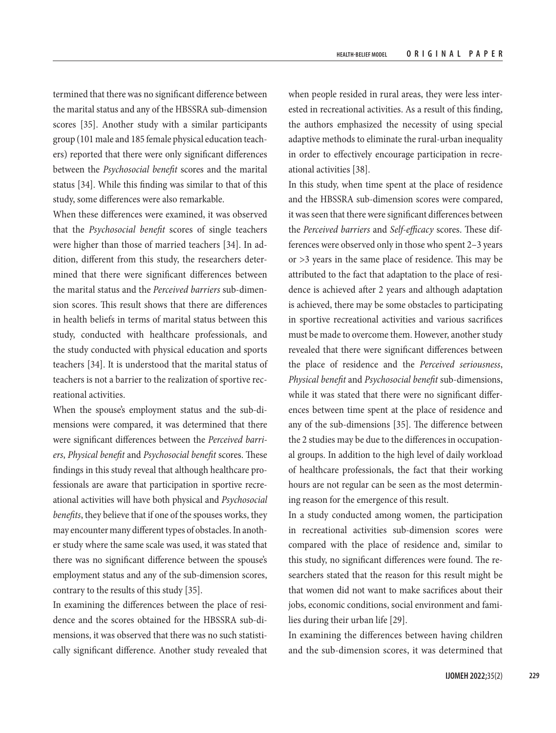termined that there was no significant difference between the marital status and any of the HBSSRA sub-dimension scores [35]. Another study with a similar participants group (101 male and 185 female physical education teachers) reported that there were only significant differences between the *Psychosocial benefit* scores and the marital status [34]. While this finding was similar to that of this study, some differences were also remarkable.

When these differences were examined, it was observed that the *Psychosocial benefit* scores of single teachers were higher than those of married teachers [34]. In addition, different from this study, the researchers determined that there were significant differences between the marital status and the *Perceived barriers* sub-dimension scores. This result shows that there are differences in health beliefs in terms of marital status between this study, conducted with healthcare professionals, and the study conducted with physical education and sports teachers [34]. It is understood that the marital status of teachers is not a barrier to the realization of sportive recreational activities.

When the spouse's employment status and the sub-dimensions were compared, it was determined that there were significant differences between the *Perceived barriers*, *Physical benefit* and *Psychosocial benefit* scores. These findings in this study reveal that although healthcare professionals are aware that participation in sportive recreational activities will have both physical and *Psychosocial benefits*, they believe that if one of the spouses works, they may encounter many different types of obstacles. In another study where the same scale was used, it was stated that there was no significant difference between the spouse's employment status and any of the sub-dimension scores, contrary to the results of this study [35].

In examining the differences between the place of residence and the scores obtained for the HBSSRA sub-dimensions, it was observed that there was no such statistically significant difference. Another study revealed that when people resided in rural areas, they were less interested in recreational activities. As a result of this finding, the authors emphasized the necessity of using special adaptive methods to eliminate the rural-urban inequality in order to effectively encourage participation in recreational activities [38].

In this study, when time spent at the place of residence and the HBSSRA sub-dimension scores were compared, it was seen that there were significant differences between the *Perceived barriers* and *Self-efficacy* scores. These differences were observed only in those who spent 2–3 years or >3 years in the same place of residence. This may be attributed to the fact that adaptation to the place of residence is achieved after 2 years and although adaptation is achieved, there may be some obstacles to participating in sportive recreational activities and various sacrifices must be made to overcome them. However, another study revealed that there were significant differences between the place of residence and the *Perceived seriousness*, *Physical benefit* and *Psychosocial benefit* sub-dimensions, while it was stated that there were no significant differences between time spent at the place of residence and any of the sub-dimensions [35]. The difference between the 2 studies may be due to the differences in occupational groups. In addition to the high level of daily workload of healthcare professionals, the fact that their working hours are not regular can be seen as the most determining reason for the emergence of this result.

In a study conducted among women, the participation in recreational activities sub-dimension scores were compared with the place of residence and, similar to this study, no significant differences were found. The researchers stated that the reason for this result might be that women did not want to make sacrifices about their jobs, economic conditions, social environment and families during their urban life [29].

In examining the differences between having children and the sub-dimension scores, it was determined that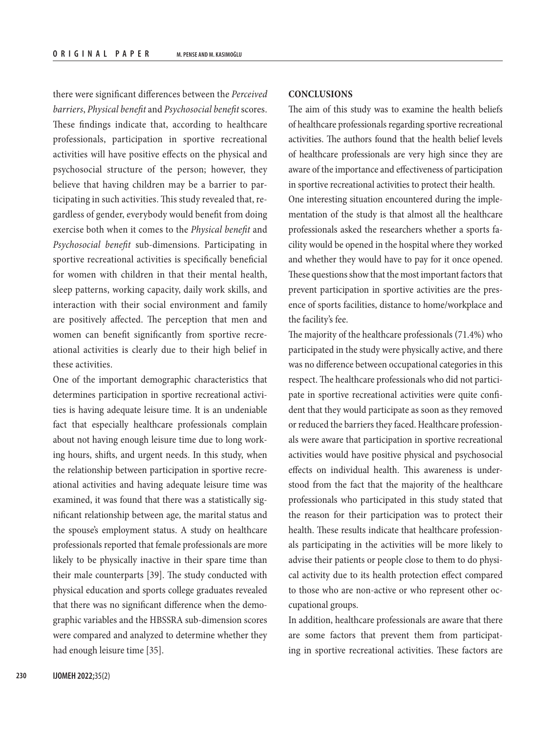there were significant differences between the *Perceived barriers*, *Physical benefit* and *Psychosocial benefit* scores. These findings indicate that, according to healthcare professionals, participation in sportive recreational activities will have positive effects on the physical and psychosocial structure of the person; however, they believe that having children may be a barrier to participating in such activities. This study revealed that, regardless of gender, everybody would benefit from doing exercise both when it comes to the *Physical benefit* and *Psychosocial benefit* sub-dimensions. Participating in sportive recreational activities is specifically beneficial for women with children in that their mental health, sleep patterns, working capacity, daily work skills, and interaction with their social environment and family are positively affected. The perception that men and women can benefit significantly from sportive recreational activities is clearly due to their high belief in these activities.

One of the important demographic characteristics that determines participation in sportive recreational activities is having adequate leisure time. It is an undeniable fact that especially healthcare professionals complain about not having enough leisure time due to long working hours, shifts, and urgent needs. In this study, when the relationship between participation in sportive recreational activities and having adequate leisure time was examined, it was found that there was a statistically significant relationship between age, the marital status and the spouse's employment status. A study on healthcare professionals reported that female professionals are more likely to be physically inactive in their spare time than their male counterparts [39]. The study conducted with physical education and sports college graduates revealed that there was no significant difference when the demographic variables and the HBSSRA sub-dimension scores were compared and analyzed to determine whether they had enough leisure time [35].

## **CONCLUSIONS**

The aim of this study was to examine the health beliefs of healthcare professionals regarding sportive recreational activities. The authors found that the health belief levels of healthcare professionals are very high since they are aware of the importance and effectiveness of participation in sportive recreational activities to protect their health. One interesting situation encountered during the implementation of the study is that almost all the healthcare professionals asked the researchers whether a sports facility would be opened in the hospital where they worked and whether they would have to pay for it once opened. These questions show that the most important factors that prevent participation in sportive activities are the presence of sports facilities, distance to home/workplace and the facility's fee.

The majority of the healthcare professionals (71.4%) who participated in the study were physically active, and there was no difference between occupational categories in this respect. The healthcare professionals who did not participate in sportive recreational activities were quite confident that they would participate as soon as they removed or reduced the barriers they faced. Healthcare professionals were aware that participation in sportive recreational activities would have positive physical and psychosocial effects on individual health. This awareness is understood from the fact that the majority of the healthcare professionals who participated in this study stated that the reason for their participation was to protect their health. These results indicate that healthcare professionals participating in the activities will be more likely to advise their patients or people close to them to do physical activity due to its health protection effect compared to those who are non-active or who represent other occupational groups.

In addition, healthcare professionals are aware that there are some factors that prevent them from participating in sportive recreational activities. These factors are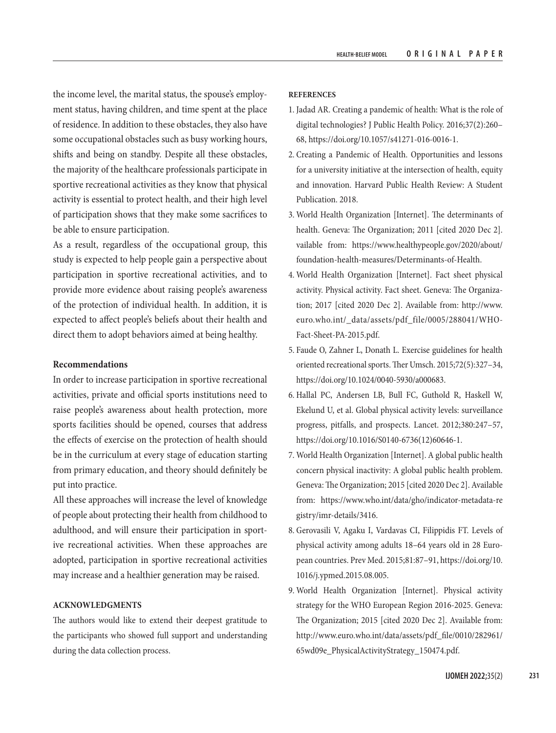the income level, the marital status, the spouse's employment status, having children, and time spent at the place of residence. In addition to these obstacles, they also have some occupational obstacles such as busy working hours, shifts and being on standby. Despite all these obstacles, the majority of the healthcare professionals participate in sportive recreational activities as they know that physical activity is essential to protect health, and their high level of participation shows that they make some sacrifices to be able to ensure participation.

As a result, regardless of the occupational group, this study is expected to help people gain a perspective about participation in sportive recreational activities, and to provide more evidence about raising people's awareness of the protection of individual health. In addition, it is expected to affect people's beliefs about their health and direct them to adopt behaviors aimed at being healthy.

### **Recommendations**

In order to increase participation in sportive recreational activities, private and official sports institutions need to raise people's awareness about health protection, more sports facilities should be opened, courses that address the effects of exercise on the protection of health should be in the curriculum at every stage of education starting from primary education, and theory should definitely be put into practice.

All these approaches will increase the level of knowledge of people about protecting their health from childhood to adulthood, and will ensure their participation in sportive recreational activities. When these approaches are adopted, participation in sportive recreational activities may increase and a healthier generation may be raised.

#### **ACKNOWLEDGMENTS**

The authors would like to extend their deepest gratitude to the participants who showed full support and understanding during the data collection process.

#### **REFERENCES**

- 1. Jadad AR. Creating a pandemic of health: What is the role of digital technologies? J Public Health Policy. 2016;37(2):260– 68, [https://doi.org/10.1057/s41271-016-0016-1.](https://doi.org/10.1057/s41271-016-0016-1)
- 2. Creating a Pandemic of Health. Opportunities and lessons for a university initiative at the intersection of health, equity and innovation. Harvard Public Health Review: A Student Publication. 2018.
- 3. World Health Organization [Internet]. The determinants of health. Geneva: The Organization; 2011 [cited 2020 Dec 2]. vailable from: [https://www.healthypeople.gov/2020/about/](https://www.healthypeople.gov/2020/about/foundation-health-measures/Determinants-of-Health) [foundation-health-measures/Determinants-of-Health](https://www.healthypeople.gov/2020/about/foundation-health-measures/Determinants-of-Health).
- 4. World Health Organization [Internet]. Fact sheet physical activity. Physical activity. Fact sheet. Geneva: The Organization; 2017 [cited 2020 Dec 2]. Available from: [http://www.](http://www.euro.who.int/_data/assets/pdf_file/0005/288041/WHO-Fact-Sheet-PA-2015.pdf) [euro.who.int/\\_data/assets/pdf\\_file/0005/288041/WHO-](http://www.euro.who.int/_data/assets/pdf_file/0005/288041/WHO-Fact-Sheet-PA-2015.pdf)[Fact-Sheet-PA-2015.pdf.](http://www.euro.who.int/_data/assets/pdf_file/0005/288041/WHO-Fact-Sheet-PA-2015.pdf)
- 5. Faude O, Zahner L, Donath L. Exercise guidelines for health oriented recreational sports. Ther Umsch. 2015;72(5):327–34, <https://doi.org/10.1024/0040-5930/a000683>.
- 6. Hallal PC, Andersen LB, Bull FC, Guthold R, Haskell W, Ekelund U, et al. Global physical activity levels: surveillance progress, pitfalls, and prospects. Lancet. 2012;380:247–57, [https://doi.org/10.1016/S0140-6736\(12\)60646-1](https://doi.org/10.1016/S0140-6736(12)60646-1).
- 7. World Health Organization [Internet]. A global public health concern physical inactivity: A global public health problem. Geneva: The Organization; 2015 [cited 2020 Dec 2]. Available from: [https://www.who.int/data/gho/indicator-metadata-re](https://www.who.int/data/gho/indicator-metadata-registry/imr-details/3416) [gistry/imr-details/3416.](https://www.who.int/data/gho/indicator-metadata-registry/imr-details/3416)
- 8. Gerovasili V, Agaku I, Vardavas CI, Filippidis FT. Levels of physical activity among adults 18–64 years old in 28 European countries. Prev Med. 2015;81:87–91, [https://doi.org/10.](https://doi.org/10.1016/j.ypmed.2015.08.005) [1016/j.ypmed.2015.08.005](https://doi.org/10.1016/j.ypmed.2015.08.005).
- 9. World Health Organization [Internet]. Physical activity strategy for the WHO European Region 2016-2025. Geneva: The Organization; 2015 [cited 2020 Dec 2]. Available from: [http://www.euro.who.int/data/assets/pdf\\_file/0010/282961/](http://www.euro.who.int/data/assets/pdf_file/0010/282961/65wd09e_PhysicalActivityStrategy_150474.pdf) [65wd09e\\_PhysicalActivityStrategy\\_150474.pdf.](http://www.euro.who.int/data/assets/pdf_file/0010/282961/65wd09e_PhysicalActivityStrategy_150474.pdf)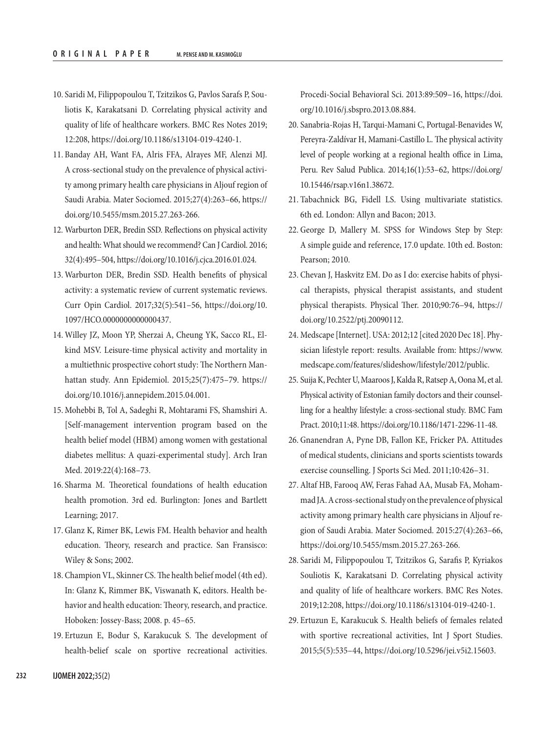- 10. Saridi M, Filippopoulou T, Tzitzikos G, Pavlos Sarafs P, Souliotis K, Karakatsani D. Correlating physical activity and quality of life of healthcare workers. BMC Res Notes 2019; 12:208,<https://doi.org/10.1186/s13104-019-4240-1>.
- 11. Banday AH, Want FA, Alris FFA, Alrayes MF, Alenzi MJ. A cross-sectional study on the prevalence of physical activity among primary health care physicians in Aljouf region of Saudi Arabia. Mater Sociomed. 2015;27(4):263–66, [https://](https://doi.org/10.5455/msm.2015.27.263-266) [doi.org/10.5455/msm.2015.27.263-266.](https://doi.org/10.5455/msm.2015.27.263-266)
- 12. Warburton DER, Bredin SSD. Reflections on physical activity and health: What should we recommend? Can J Cardiol. 2016; 32(4):495–504, [https://doi.org/10.1016/j.cjca.2016.01.024.](https://doi.org/10.1016/j.cjca.2016.01.024)
- 13. Warburton DER, Bredin SSD. Health benefits of physical activity: a systematic review of current systematic reviews. Curr Opin Cardiol. 2017;32(5):541–56, [https://doi.org/10.](https://doi.org/10.1097/HCO.0000000000000437) [1097/HCO.0000000000000437](https://doi.org/10.1097/HCO.0000000000000437).
- 14. Willey JZ, Moon YP, Sherzai A, Cheung YK, Sacco RL, Elkind MSV. Leisure-time physical activity and mortality in a multiethnic prospective cohort study: The Northern Manhattan study. Ann Epidemiol. 2015;25(7):475–79. [https://](https://doi.org/10.1016/j.annepidem.2015.04.001) [doi.org/10.1016/j.annepidem.2015.04.001.](https://doi.org/10.1016/j.annepidem.2015.04.001)
- 15. Mohebbi B, Tol A, Sadeghi R, Mohtarami FS, Shamshiri A. [Self-management intervention program based on the health belief model (HBM) among women with gestational diabetes mellitus: A quazi-experimental study]. Arch Iran Med. 2019:22(4):168–73.
- 16. Sharma M. Theoretical foundations of health education health promotion. 3rd ed. [Burlington:](https://www.google.com/search?client=firefox-b-d&sxsrf=AOaemvKsmghUFTuIOaWJcAsjHwwWSFlfDQ:1631611524022&q=Burlington,+Massachusetts&stick=H4sIAAAAAAAAAOPgE-LSz9U3MEmpyjMwVuIEsQ1zjXILtbSyk63084vSE_MyqxJLMvPzUDhWGamJKYWliUUlqUXFi1glnUqLcjLz0kvy83QUfBOLixOTM0qLU0tKinewMgIA9s3Y_GQAAAA&sa=X&ved=2ahUKEwiTo7PKkv7yAhUjiYsKHS17DzAQmxMoAXoECDsQAw) Jones and Bartlett Learning; 2017.
- 17. Glanz K, Rimer BK, Lewis FM. Health behavior and health education. Theory, research and practice. San Fransisco: Wiley & Sons; 2002.
- 18. Champion VL, Skinner CS. The health belief model (4th ed). In: Glanz K, Rimmer BK, Viswanath K, editors. Health behavior and health education: Theory, research, and practice. [Hoboken](https://www.google.com/search?client=firefox-b-d&sxsrf=AOaemvIatYnG6ucCwTPOnaUyOlKu8A4sXQ:1631695142814&q=Hoboken&stick=H4sIAAAAAAAAAOPgE-LUz9U3MMotLypT4gAxK_LMk7S0spOt9POL0hPzMqsSSzLz81A4VhmpiSmFpYlFJalFxYtY2T3yk_KzU_N2sDICAC-vG35QAAAA&sa=X&ved=2ahUKEwi1v_mKyoDzAhWCyIsKHZGMAloQmxMoAXoECD8QAw): Jossey-Bass; 2008. p. 45–65.
- 19. Ertuzun E, Bodur S, Karakucuk S. The development of health-belief scale on sportive recreational activities.

Procedi-Social Behavioral Sci. 2013:89:509–16, [https://doi.](https://doi.org/10.1016/j.sbspro.2013.08.884) [org/10.1016/j.sbspro.2013.08.884](https://doi.org/10.1016/j.sbspro.2013.08.884).

- 20. Sanabria-Rojas H, Tarqui-Mamani C, Portugal-Benavides W, Pereyra-Zaldívar H, Mamani-Castillo L. The physical activity level of people working at a regional health office in Lima, Peru. Rev Salud Publica. 2014;16(1):53–62, [https://doi.org/](https://doi.org/10.15446/rsap.v16n1.38672) [10.15446/rsap.v16n1.38672.](https://doi.org/10.15446/rsap.v16n1.38672)
- 21. Tabachnick BG, Fidell LS. Using multivariate statistics. 6th ed. London: Allyn and Bacon; 2013.
- 22. George D, Mallery M. SPSS for Windows Step by Step: A simple guide and reference, 17.0 update. 10th ed. Boston: Pearson; 2010.
- 23. Chevan J, Haskvitz EM. Do as I do: exercise habits of physical therapists, physical therapist assistants, and student physical therapists. Physical Ther. 2010;90:76–94, [https://](https://doi.org/10.2522/ptj.20090112) [doi.org/10.2522/ptj.20090112](https://doi.org/10.2522/ptj.20090112).
- 24. Medscape [Internet]. USA: 2012;12 [cited 2020 Dec 18]. Physician lifestyle report: results. Available from: [https://www.](https://www.medscape.com/features/slideshow/lifestyle/2012/public) [medscape.com/features/slideshow/lifestyle/2012/public.](https://www.medscape.com/features/slideshow/lifestyle/2012/public)
- 25. Suija K, Pechter U, Maaroos J, Kalda R, Ratsep A, Oona M, et al. Physical activity of Estonian family doctors and their counselling for a healthy lifestyle: a cross-sectional study. BMC Fam Pract. 2010;11:48.<https://doi.org/10.1186/1471-2296-11-48>.
- 26. Gnanendran A, Pyne DB, Fallon KE, Fricker PA. Attitudes of medical students, clinicians and sports scientists towards exercise counselling. J Sports Sci Med. 2011;10:426–31.
- 27. Altaf HB, Farooq AW, Feras Fahad AA, Musab FA, Mohammad JA. A cross-sectional study on the prevalence of physical activity among primary health care physicians in Aljouf region of Saudi Arabia. Mater Sociomed. 2015:27(4):263–66, [https://doi.org/10.5455/msm.2015.27.263-266.](https://doi.org/10.5455/msm.2015.27.263-266)
- 28. Saridi M, Filippopoulou T, Tzitzikos G, Sarafis P, Kyriakos Souliotis K, Karakatsani D. Correlating physical activity and quality of life of healthcare workers. BMC Res Notes. 2019;12:208, [https://doi.org/10.1186/s13104-019-4240-1.](https://doi.org/10.1186/s13104-019-4240-1)
- 29. Ertuzun E, Karakucuk S. Health beliefs of females related with sportive recreational activities, Int J Sport Studies. 2015;5(5):535–44, <https://doi.org/10.5296/jei.v5i2.15603>.